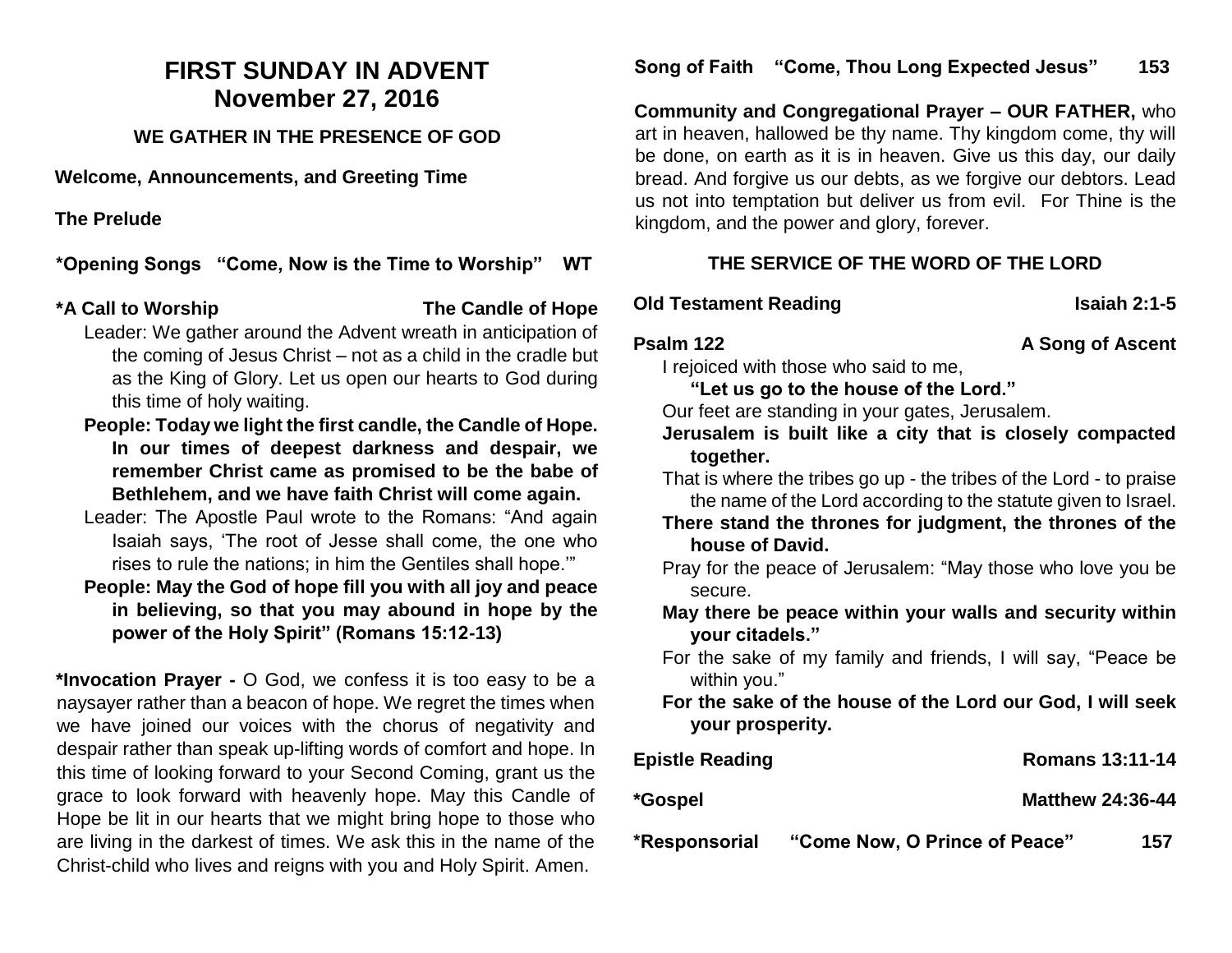## **FIRST SUNDAY IN ADVENT November 27, 2016**

## **WE GATHER IN THE PRESENCE OF GOD**

**Welcome, Announcements, and Greeting Time** 

**The Prelude** 

**\*Opening Songs "Come, Now is the Time to Worship" WT**

## **\*A Call to Worship The Candle of Hope**

- Leader: We gather around the Advent wreath in anticipation of the coming of Jesus Christ – not as a child in the cradle but as the King of Glory. Let us open our hearts to God during this time of holy waiting.
- **People: Today we light the first candle, the Candle of Hope. In our times of deepest darkness and despair, we remember Christ came as promised to be the babe of Bethlehem, and we have faith Christ will come again.**
- Leader: The Apostle Paul wrote to the Romans: "And again Isaiah says, 'The root of Jesse shall come, the one who rises to rule the nations; in him the Gentiles shall hope.'"
- **People: May the God of hope fill you with all joy and peace in believing, so that you may abound in hope by the power of the Holy Spirit" (Romans 15:12-13)**

**\*Invocation Prayer -** O God, we confess it is too easy to be a naysayer rather than a beacon of hope. We regret the times when we have joined our voices with the chorus of negativity and despair rather than speak up-lifting words of comfort and hope. In this time of looking forward to your Second Coming, grant us the grace to look forward with heavenly hope. May this Candle of Hope be lit in our hearts that we might bring hope to those who are living in the darkest of times. We ask this in the name of the Christ-child who lives and reigns with you and Holy Spirit. Amen.

**Community and Congregational Prayer – OUR FATHER,** who art in heaven, hallowed be thy name. Thy kingdom come, thy will be done, on earth as it is in heaven. Give us this day, our daily bread. And forgive us our debts, as we forgive our debtors. Lead us not into temptation but deliver us from evil. For Thine is the kingdom, and the power and glory, forever.

## **THE SERVICE OF THE WORD OF THE LORD**

## **Old Testament Reading Isaiah 2:1-5**

**Psalm 122** A Song of Ascent

I rejoiced with those who said to me,

**"Let us go to the house of the Lord."**

Our feet are standing in your gates, Jerusalem.

**Jerusalem is built like a city that is closely compacted together.**

That is where the tribes go up - the tribes of the Lord - to praise the name of the Lord according to the statute given to Israel.

- **There stand the thrones for judgment, the thrones of the house of David.**
- Pray for the peace of Jerusalem: "May those who love you be secure.
- **May there be peace within your walls and security within your citadels."**
- For the sake of my family and friends, I will say, "Peace be within you."
- **For the sake of the house of the Lord our God, I will seek your prosperity.**

| *Responsorial          | "Come Now, O Prince of Peace" | 157 |
|------------------------|-------------------------------|-----|
| *Gospel                | <b>Matthew 24:36-44</b>       |     |
| <b>Epistle Reading</b> | <b>Romans 13:11-14</b>        |     |